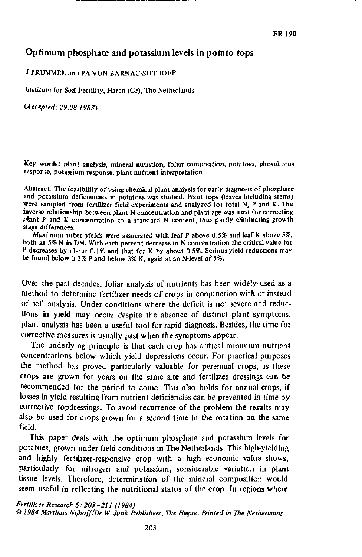# **Optimum phosphate and potassium levels in potato tops**

J PRUMMEL and PA VON BARNAU-SUTHOFF

Institute for Soil Fertility, Haren (Gr), The Netherlands

*{Accepted: 29.08.1983)* 

Key words: plant analysis, mineral nutrition, foliar composition, potatoes, phosphorus response, potassium response, plant nutrient interpretation

Abstract The feasibility of using chemical plant analysis for early diagnosis of phosphate and potassium deficiencies in potatoes was studied. Plant tops (leaves including stems) were sampled from fertilizer field experiments and analyzed for total N, P and K. The inverse relationship between plant N concentration and plant age was used for correcting plant P and K concentration to a standard N content, thus partly eliminating growth stage differences.

Maximum tuber yields were associated with leaf P above 0.5% and leaf K above 5%, both at 5% N in DM. With each percent decrease in N concentration the critical value for P decreases by about 0.1% and that for K by about 0.5%. Serious yield reductions may be found below 0.3% P and below 3% K, again at an N-levei of 5%.

Over the past decades, foliar analysis of nutrients has been widely used as a method to determine fertilizer needs of crops in conjunction with or instead of soil analysis. Under conditions where the deficit is not severe and reductions in yield may occur despite the absence of distinct plant symptoms, plant analysis has been a useful tool for rapid diagnosis. Besides, the time for corrective measures is usually past when the symptoms appear.

The underlying principle is that each crop has critical minimum nutrient concentrations below which yield depressions occur. For practical purposes the method has proved particularly valuable for perennial crops, as these crops are grown for years on the same site and fertilizer dressings can be recommended for the period to come. This also holds for annual crops, if losses in yield resulting from nutrient deficiencies can be prevented in time by corrective topdressings. To avoid recurrence of the problem the results may also be used for crops grown for a second time in the rotation on the same field.

This paper deals with the optimum phosphate and potassium levels for potatoes, grown under field conditions in The Netherlands. This high-yielding and highly fertilizer-responsive crop with a high economic value shows, particularly for nitrogen and potassium, sonsiderable variation in plant tissue levels. Therefore, determination of the mineral composition would seem useful in reflecting the nutritional status of the crop. In regions where

*Fertilizer Research 5: 203-211 (1984)*  © *1984 Martinus Nijhoff/Dr W Junk Publishers, The Hague. Printed in The Netherlands.*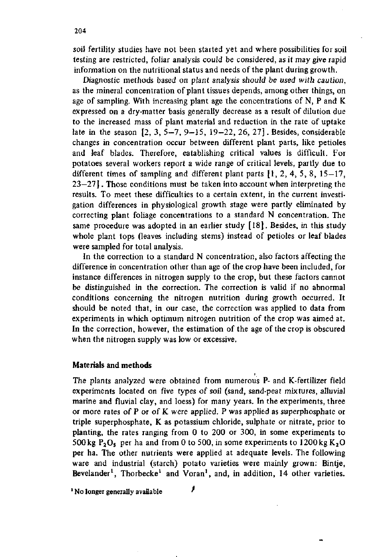Diagnostic methods based on plant analysis should be used with caution, as the mineral concentration of plant tissues depends, among other things, on age of sampling. With increasing plant age the concentrations of  $N$ ,  $P$  and  $K$ expressed on a dry-matter basis generally decrease as a result of dilution due to the increased mass of plant material and reduction in the rate of uptake late in the season [2, 3, 5-7, 9-15, 19-22, 26, 27]. Besides, considerable changes in concentration occur between different plant parts, like petioles and leaf blades. Therefore, eatablishing critical values is difficult. For potatoes several workers report a wide range of critical levels, partly due to different times of sampling and different plant parts [1, 2, 4, 5, 8, 15–17, 23—27]. Those conditions must be taken into account when interpreting the results. To meet these difficulties to a certain extent, in the current investigation differences in physiological growth stage were partly eliminated by correcting plant foliage concentrations to a standard N concentration. The same procedure was adopted in an earlier study **[18].** Besides, in this study whole plant tops (leaves including stems) instead of petioles or leaf blades were sampled for total analysis.

In the correction to a standard N concentration, also factors affecting the difference in concentration other than age of the crop have been included, for instance differences in nitrogen supply to the crop, but these factors cannot be distinguished in the correction. The correction is valid if no abnormal conditions concerning the nitrogen nutrition during growth occurred. It should be noted that, in our case, the correction was applied to data from experiments in which optimum nitrogen nutrition of the crop was aimed at. In the correction, however, the estimation of the age of the crop is obscured when the nitrogen supply was low or excessive.

# **Materials and methods**

The plants analyzed were obtained from numerous P- and K-fertilizer field experiments located on five types of soil (sand, sand-peat mixtures, alluvial marine and fluvial clay, and loess) for many years. In the experiments, three or more rates of P or of K were applied. P was applied as superphosphate or triple superphosphate, K as potassium chloride, sulphate or nitrate, prior to planting, the rates ranging from 0 to 200 or 300, in some experiments to 500 kg  $P_2O_5$  per ha and from 0 to 500, in some experiments to 120 per ha. The other nutrients were applied at adequate levels. The following ware and industrial (starch) potato varieties were mainly grown: Bintje, Bevelander<sup>1</sup>, Thorbecke<sup>1</sup> and Voran<sup>1</sup>, and, in addition, 14 other var

<sup>1</sup> No longer generally available

j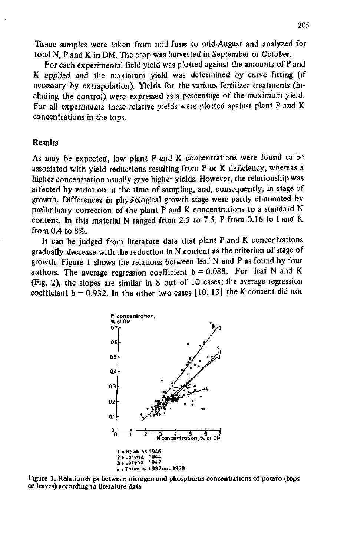Tissue samples were taken from mid-June to mid-August and analyzed for total N, P and K in DM. The crop was harvested in September *or October.* 

For each experimental field yield was plotted against the amounts of P and K applied *and the* maximum yield was determined by curve fitting (if necessary by extrapolation). Yields for the various fertilizer treatments (including the control) were expressed as a percentage of the maximum yield. For all experiments these relative yields were plotted against plant P and K concentrations in the tops.

## Results

As may be expected, low plant P and K concentrations were found to be associated with yield reductions resulting from P or K deficiency, whereas a higher concentration usually gave higher yields. However, the relationship was affected by variation in the time of sampling, and, consequently, in stage of growth. Differences in physiological growth stage were partly eliminated by preliminary correction of the plant P and K concentrations to a standard N content. In this material N ranged from 2.5 to 7.5, P from 0.16 to 1 and K from 0.4 to 8%.

It can be judged from literature data that plant P and K concentrations gradually decrease with the reduction in N content as the criterion of stage of growth. Figure 1 shows the relations between leaf N and P as found by four authors. The average regression coefficient  $b = 0.088$ . For leaf N and K (Fig. 2), the slopes are similar in 8 out of 10 cases; the average regression coefficient  $b = 0.932$ . In the other two cases [10, 13] the K content did not



Figure 1. Relationships between nitrogen and phosphorus concentrations of potato (tops or leaves) according to literature data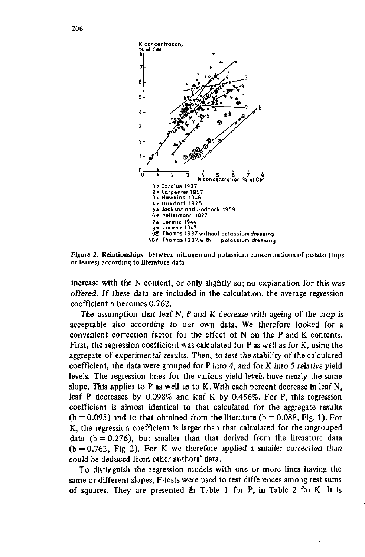

Figure 2. Relationships between nitrogen and potassium concentrations of potato (tops or leaves) according to literature data

increase with the N content, or only slightly so; no explanation for this was *offered. If these* data are included in the calculation, the average regression coefficient b becomes 0.762.

The assumption that leaf  $N$ ,  $P$  and  $K$  decrease with ageing of the crop is acceptable also according to our own data. We therefore looked for a convenient correction factor for the effect of N on the P and K contents. First, the regression coefficient was calculated for P as well as for K, using the aggregate of experimental results. Then, to test the stability of the calculated coefficient, the data were grouped for P into 4, and for K into 5 relative yield levels. The regression lines for the various yield levels have nearly the same slope. This applies to P as well as to K. With each percent decrease in leaf  $N$ , leaf P decreases by 0.098% and leaf K by 0.456%. For P, this regression coefficient is almost identical to that calculated for the aggregate results  $(b = 0.095)$  and to that obtained from the literature  $(b = 0.088, Fig. 1)$ . For K, the regression coefficient is larger than that calculated for the ungrouped data  $(b = 0.276)$ , but smaller than that derived from the literature data  $(b = 0.762,$  Fig 2). For K we therefore applied a smaller correction than could be deduced from other authors' data.

To distinguish the regression models with one or more lines having the same or different slopes, F-tests were used to test differences among rest sums of squares. They are presented  $\boldsymbol{\hbar}$  Table 1 for P, in Table 2 for K. It is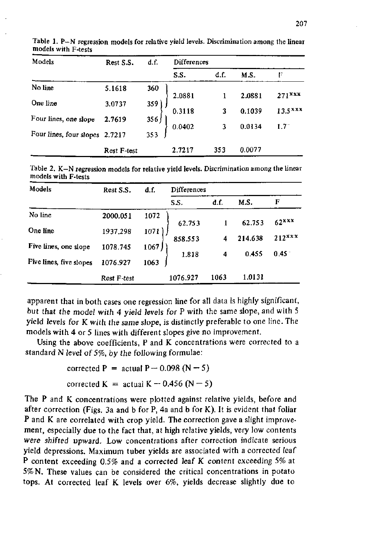| Models                         | Rest S.S.          | d.f.                           | <b>Differences</b> |      |        |                       |
|--------------------------------|--------------------|--------------------------------|--------------------|------|--------|-----------------------|
|                                |                    |                                | S.S.               | d.f. | M.S.   | F                     |
| No line                        | 5.1618             | 360<br>359                     | 2.0881             |      | 2.0881 | $271$ <sup>xxx</sup>  |
| One line                       | 3.0737             |                                |                    | 3    | 0.1039 | $13.5$ <sup>xxx</sup> |
| Four lines, one slope          | 2.7619             | $\left(\frac{356}{353}\right)$ | 0.3118<br>0.0402   | 3    | 0.0134 | $1.7^{-}$             |
| Four lines, four slopes 2.7217 |                    |                                |                    |      |        |                       |
|                                | <b>Rest F-test</b> |                                | 2.7217             | 353  | 0.0077 |                       |

Table 1. P-N regression models for relative yield levels. Discrimination among the linear models with F-tests

Table 2. K—N regression models for relative yield levels. Discrimination among the linea models with F-tests

| Models                  | Rest S.S.   | d.f. | Differences |      |         |             |
|-------------------------|-------------|------|-------------|------|---------|-------------|
|                         |             |      | SS.         | d.f. | M.S.    | F           |
| No line                 | 2000.051    | 1072 | 62.753      |      | 62.753  | $62^{XXX}$  |
| One line                | 1937.298    | 1071 | 858.553     | 4    | 214.638 | $212^{xxx}$ |
| Five lines, one slope   | 1078.745    | 1067 | 1.818       | 4    | 0.455   | $0.45 -$    |
| Five lines, five slopes | 1076.927    | 1063 |             |      |         |             |
|                         | Rest F-test |      | 1076.927    | 1063 | 1.0131  |             |

apparent that in both cases one regression line for all data is highly significant, but that *the model with 4 yield levels for* P with the same slope, and with 5 yield levels for K with the same slope, is distinctly preferable to one line. The models with 4 or 5 lines with different slopes give no improvement.

Using the above coefficients, P and K concentrations were corrected to a standard N level of 5%, by the following formulae:

> corrected  $P = actual P - 0.098 (N - 5)$ corrected K = actual K - 0.456 (N - 5)

The P and K concentrations were plotted against relative yields, before and after correction (Figs. 3a and b for P, 4a and b for K). It is evident that foliar P and K are correlated with crop yield. The correction gave a slight improvement, especially due to the fact that, at high relative yields, very low contents *were shifted* upward. Low concentrations after correction indicate serious yield depressions. Maximum tuber yields are associated with a corrected ieaf P content exceeding 0.5% and a corrected leaf K content exceeding 5% at 5%N. These values can be considered the critical concentrations in potato tops. At corrected leaf K levels over 6%, yields decrease slightly due to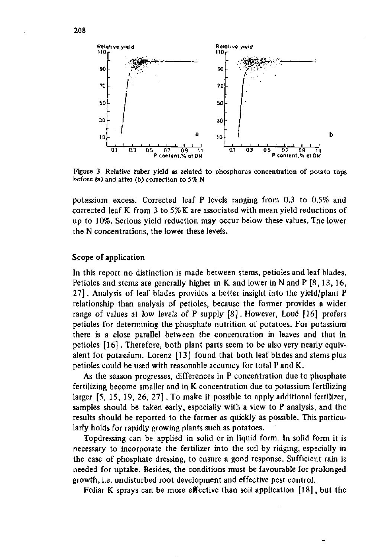

Figure 3. Relative tuber yield as related to phosphorus concentration of potato tops before (a) and after (b) correction to 5% N

potassium excess. Corrected leaf P levels ranging from 0.3 to 0.5% and corrected leaf K from 3 to 5% K are associated with mean yield reductions of up to 10%. Serious yield reduction may occur below these values. The lower the N concentrations, the lower these levels.

### **Scope of application**

**In** this report no distinction is made between stems, petioles and leaf blades. Petioles and stems are generally higher in K and lower in N and P [8, 13, 16, 27]. Analysis of leaf blades provides a better insight into the yield/plant P relationship than analysis of petioles, because the former provides a wider range of values at low levels of P supply [8]. However, Loué [16] prefers petioles for determining the phosphate nutrition of potatoes. For potassium there is a close parallel between the concentration in leaves and that in petioles [16]. Therefore, both plant parts seem to be also very nearly equivalent for potassium. Lorenz [13] found that both leaf blades and stems plus petioles could be used with reasonable accuracy for total P and K.

As the season progresses, differences in P concentration due to phosphate fertilizing become smaller and in K concentration due to potassium fertilizing larger [5, 15, 19, 26, 27]. To make it possible to apply additional fertilizer, samples should be taken early, especially with a view to P analysis, and the results should be reported to the farmer as quickly as possible. This particularly holds for rapidly growing plants such as potatoes.

Topdressing can be applied in solid or in liquid form. In solid form it is necessary to incorporate the fertilizer into the soil by ridging, especially in the case of phosphate dressing, to ensure a good response. Sufficient rain is needed for uptake. Besides, the conditions must be favourable for prolonged growth, i.e. undisturbed root development and effective pest control.

Foliar K sprays can be more effective than soil application [18], but the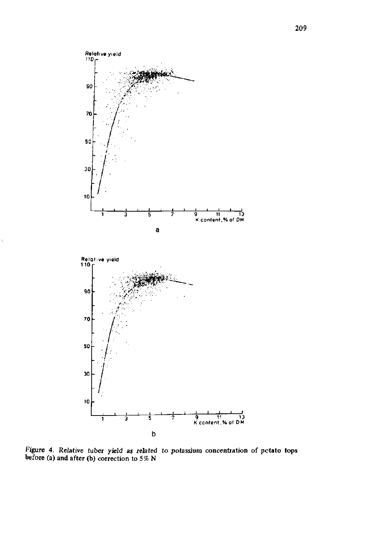

Figure 4. Relative tuber yield as related to potassium concentration of peta before (a) and after (b) correction to  $5$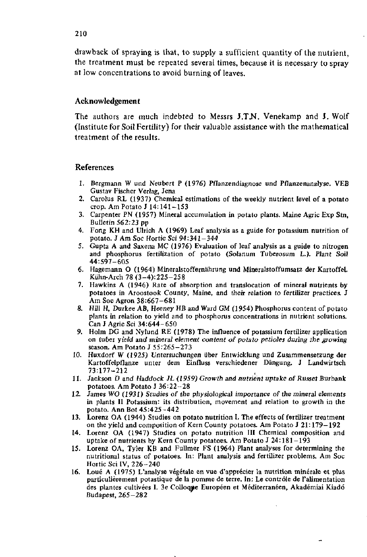drawback of spraying is that, to supply a sufficient quantity of the nutrient, the treatment must be repeated several times, because it is necessary to spray at low concentrations to avoid burning of leaves.

## Acknowledgement

The authors are much indebted to Messrs J.T.N. Venekamp and J. Wolf (Institute for Soil Fertility) for their valuable assistance with the mathematical treatment of the results.

#### References

- 1. Bergmann W und Neubert P (1976) Pflanzendiagnose und Pflanzenanalyse. VEB Gustav Fischer Verlag, Jena
- 2. Carolus RL (1937) Chemical estimations of the weekly nutrient level of a potato crop. Am Potato J 14:141-153
- 3. Carpenter PN (1957) Mineral accumulation in potato plants. Maine Agric Exp Stn, Bulletin 562:23 pp
- 4. Fong KH and Ulrich A (1969) Leaf analysis as a guide for potassium nutrition of potato. *J* Am Soc Hortic Sei 94:341-344
- 5. Gupta A and Saxena MÇ (1976) Evaluation of leaf analysis as a guide to nitrogen and phosphorus fertilization of potato (Solanum Tuberosum L.). Plant Soil 44:597-605
- 6. Hagemann O (1964) Mineralstoffernährung und Mineralstoffumsatz der Kartoffel. Kühn-Arch 78 (3-4):225-258
- 7. Hawkins A (1946) Rate of absorption and translocation of mineral nutrients by potatoes in Aroostook County, Maine, and their relation *to* fertilizer practices. J Am Soc Agron 38:667-681
- 8. Hill H, Durkee AB, Heeney HB and Ward GM (1954) Phosphorus content of potato plants in relation to yield and to phosphorus concentrations in nutrient solutions. Can J Agric Sei 34:644-650
- 9. Holm DG and Nylund RE (1978) The influence of potassium fertilizer application on tuber yield and mineral element content of potato petioles during the growing season. Am Potato J 55:265-273
- 10. Huxdorf W (1925) Untersuchungen über Entwicklung und Zusammensetzung der Kartoffelpflanze unter dem Einfluss verschiedener Düngung. J Landwirtsch 73:177-212
- 11. Jackson D and Haddock *JL (1959) Growth and nutrient uptake of Russet* Burbank potatoes. Am Potato J 36:22-28
- 12. James *WO (1931) Studies* of the physiological importance *of the* mineral elements in plants II Potassium: its distribution, movement and relation to growth in the potato. Ann Bot 45:425-442
- 13. Lorenz OA (1944) Studies on potato nutrition I. The effects of fertilizer treatment on the yield and composition of Kern County potatoes. Am Potato J 21:179-192
- 14. Lorenz OA (1947) Studies on potato nutrition III Chemical composition and uptake of nutrients by Kern County potatoes. Am Potato J 24:181-193
- 15. Lorenz OA, Tyler KB and Fullmer FS (1964) Plant analyses for determining the nutritional status of potatoes. In: Plant analysis and fertilizer problems. Am Soc Hortic Sei IV, 226-240
- 16. Loué A (1975) L'analyse végétale en vue d'apprécier la nutrition minérale et plus particulièrement potastique de la pomme de terre. In: Le contrôle de l'alimentation des plantes cultivées I. 3e Colloque Européen et Méditerranéen, Akadémiai Kiadó Budapest, 265-282